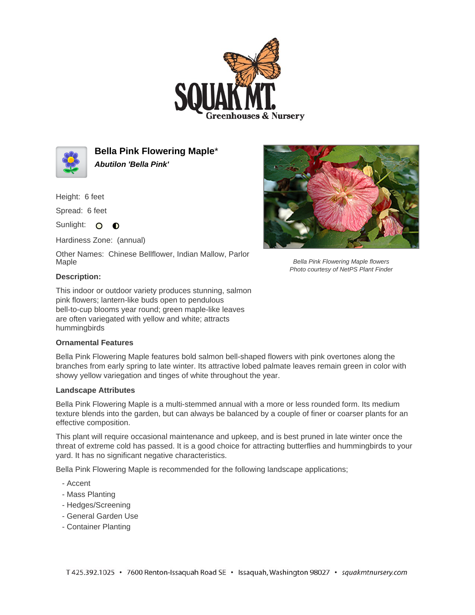



**Bella Pink Flowering Maple**\* **Abutilon 'Bella Pink'**

Height: 6 feet

Spread: 6 feet

Sunlight: O **O** 

Hardiness Zone: (annual)

Other Names: Chinese Bellflower, Indian Mallow, Parlor Maple

## **Description:**

This indoor or outdoor variety produces stunning, salmon pink flowers; lantern-like buds open to pendulous bell-to-cup blooms year round; green maple-like leaves are often variegated with yellow and white; attracts hummingbirds

## **Ornamental Features**

Bella Pink Flowering Maple features bold salmon bell-shaped flowers with pink overtones along the branches from early spring to late winter. Its attractive lobed palmate leaves remain green in color with showy yellow variegation and tinges of white throughout the year.

## **Landscape Attributes**

Bella Pink Flowering Maple is a multi-stemmed annual with a more or less rounded form. Its medium texture blends into the garden, but can always be balanced by a couple of finer or coarser plants for an effective composition.

This plant will require occasional maintenance and upkeep, and is best pruned in late winter once the threat of extreme cold has passed. It is a good choice for attracting butterflies and hummingbirds to your yard. It has no significant negative characteristics.

Bella Pink Flowering Maple is recommended for the following landscape applications;

- Accent
- Mass Planting
- Hedges/Screening
- General Garden Use
- Container Planting



Bella Pink Flowering Maple flowers Photo courtesy of NetPS Plant Finder